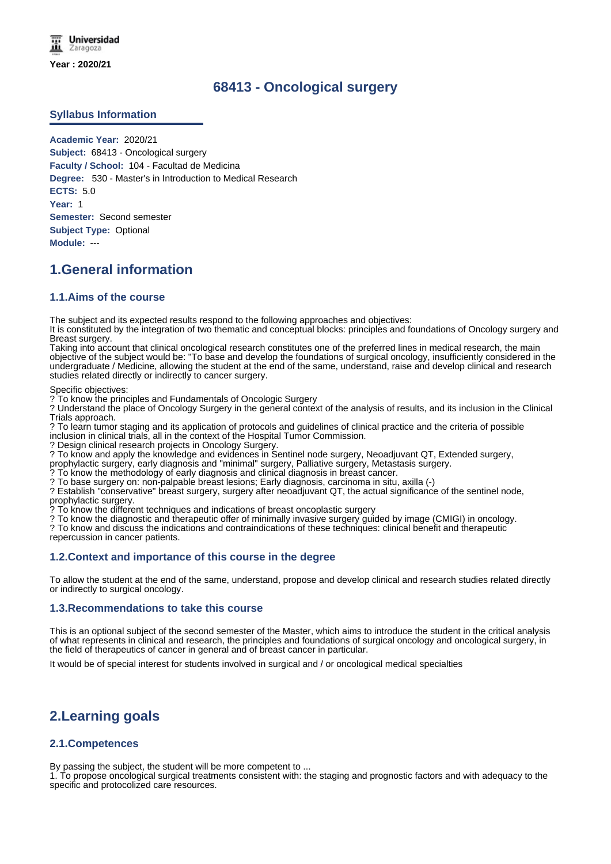# **68413 - Oncological surgery**

## **Syllabus Information**

**Academic Year:** 2020/21 **Subject:** 68413 - Oncological surgery **Faculty / School:** 104 - Facultad de Medicina **Degree:** 530 - Master's in Introduction to Medical Research **ECTS:** 5.0 **Year:** 1 **Semester:** Second semester **Subject Type:** Optional **Module:** ---

# **1.General information**

### **1.1.Aims of the course**

The subject and its expected results respond to the following approaches and objectives:

It is constituted by the integration of two thematic and conceptual blocks: principles and foundations of Oncology surgery and Breast surgery.

Taking into account that clinical oncological research constitutes one of the preferred lines in medical research, the main objective of the subject would be: "To base and develop the foundations of surgical oncology, insufficiently considered in the undergraduate / Medicine, allowing the student at the end of the same, understand, raise and develop clinical and research studies related directly or indirectly to cancer surgery.

Specific objectives:

? To know the principles and Fundamentals of Oncologic Surgery

? Understand the place of Oncology Surgery in the general context of the analysis of results, and its inclusion in the Clinical Trials approach.

? To learn tumor staging and its application of protocols and guidelines of clinical practice and the criteria of possible inclusion in clinical trials, all in the context of the Hospital Tumor Commission.

? Design clinical research projects in Oncology Surgery.

? To know and apply the knowledge and evidences in Sentinel node surgery, Neoadjuvant QT, Extended surgery,

prophylactic surgery, early diagnosis and "minimal" surgery, Palliative surgery, Metastasis surgery.

? To know the methodology of early diagnosis and clinical diagnosis in breast cancer.

? To base surgery on: non-palpable breast lesions; Early diagnosis, carcinoma in situ, axilla (-)

? Establish "conservative" breast surgery, surgery after neoadjuvant QT, the actual significance of the sentinel node, prophylactic surgery.

? To know the different techniques and indications of breast oncoplastic surgery

? To know the diagnostic and therapeutic offer of minimally invasive surgery guided by image (CMIGI) in oncology.

? To know and discuss the indications and contraindications of these techniques: clinical benefit and therapeutic

repercussion in cancer patients.

### **1.2.Context and importance of this course in the degree**

To allow the student at the end of the same, understand, propose and develop clinical and research studies related directly or indirectly to surgical oncology.

### **1.3.Recommendations to take this course**

This is an optional subject of the second semester of the Master, which aims to introduce the student in the critical analysis of what represents in clinical and research, the principles and foundations of surgical oncology and oncological surgery, in the field of therapeutics of cancer in general and of breast cancer in particular.

It would be of special interest for students involved in surgical and / or oncological medical specialties

# **2.Learning goals**

# **2.1.Competences**

By passing the subject, the student will be more competent to ...

1. To propose oncological surgical treatments consistent with: the staging and prognostic factors and with adequacy to the specific and protocolized care resources.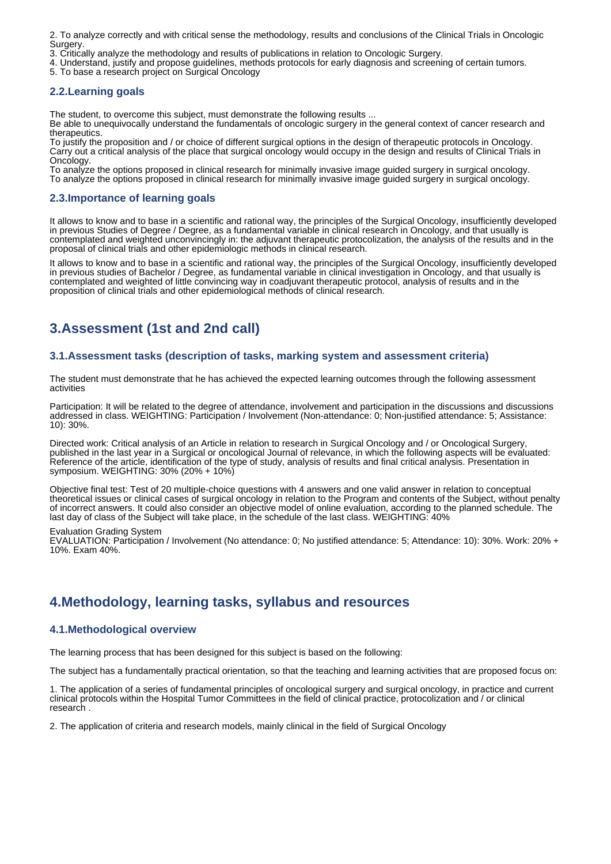2. To analyze correctly and with critical sense the methodology, results and conclusions of the Clinical Trials in Oncologic Surgery.

- 3. Critically analyze the methodology and results of publications in relation to Oncologic Surgery.
- 4. Understand, justify and propose guidelines, methods protocols for early diagnosis and screening of certain tumors.
- 5. To base a research project on Surgical Oncology

## **2.2.Learning goals**

The student, to overcome this subject, must demonstrate the following results ...

Be able to unequivocally understand the fundamentals of oncologic surgery in the general context of cancer research and therapeutics

To justify the proposition and / or choice of different surgical options in the design of therapeutic protocols in Oncology. Carry out a critical analysis of the place that surgical oncology would occupy in the design and results of Clinical Trials in Oncology.

To analyze the options proposed in clinical research for minimally invasive image guided surgery in surgical oncology. To analyze the options proposed in clinical research for minimally invasive image guided surgery in surgical oncology.

## **2.3.Importance of learning goals**

It allows to know and to base in a scientific and rational way, the principles of the Surgical Oncology, insufficiently developed in previous Studies of Degree / Degree, as a fundamental variable in clinical research in Oncology, and that usually is contemplated and weighted unconvincingly in: the adjuvant therapeutic protocolization, the analysis of the results and in the proposal of clinical trials and other epidemiologic methods in clinical research.

It allows to know and to base in a scientific and rational way, the principles of the Surgical Oncology, insufficiently developed in previous studies of Bachelor / Degree, as fundamental variable in clinical investigation in Oncology, and that usually is contemplated and weighted of little convincing way in coadjuvant therapeutic protocol, analysis of results and in the proposition of clinical trials and other epidemiological methods of clinical research.

# **3.Assessment (1st and 2nd call)**

## **3.1.Assessment tasks (description of tasks, marking system and assessment criteria)**

The student must demonstrate that he has achieved the expected learning outcomes through the following assessment activities

Participation: It will be related to the degree of attendance, involvement and participation in the discussions and discussions addressed in class. WEIGHTING: Participation / Involvement (Non-attendance: 0; Non-justified attendance: 5; Assistance: 10): 30%.

Directed work: Critical analysis of an Article in relation to research in Surgical Oncology and / or Oncological Surgery, published in the last year in a Surgical or oncological Journal of relevance, in which the following aspects will be evaluated: Reference of the article, identification of the type of study, analysis of results and final critical analysis. Presentation in symposium. WEIGHTING: 30% (20% + 10%)

Objective final test: Test of 20 multiple-choice questions with 4 answers and one valid answer in relation to conceptual theoretical issues or clinical cases of surgical oncology in relation to the Program and contents of the Subject, without penalty of incorrect answers. It could also consider an objective model of online evaluation, according to the planned schedule. The last day of class of the Subject will take place, in the schedule of the last class. WEIGHTING: 40%

Evaluation Grading System

EVALUATION: Participation / Involvement (No attendance: 0; No justified attendance: 5; Attendance: 10): 30%. Work: 20% + 10%. Exam 40%.

# **4.Methodology, learning tasks, syllabus and resources**

### **4.1.Methodological overview**

The learning process that has been designed for this subject is based on the following:

The subject has a fundamentally practical orientation, so that the teaching and learning activities that are proposed focus on:

1. The application of a series of fundamental principles of oncological surgery and surgical oncology, in practice and current clinical protocols within the Hospital Tumor Committees in the field of clinical practice, protocolization and / or clinical research .

2. The application of criteria and research models, mainly clinical in the field of Surgical Oncology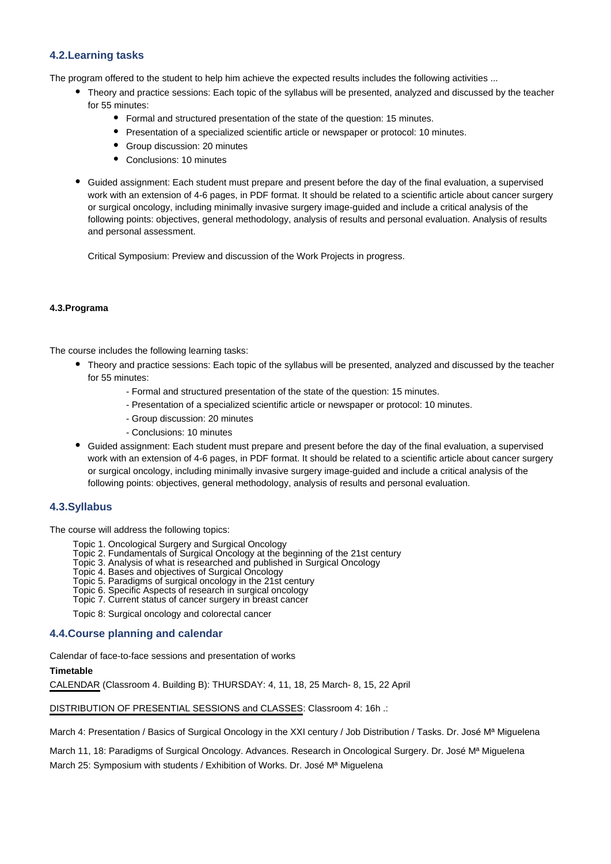## **4.2.Learning tasks**

The program offered to the student to help him achieve the expected results includes the following activities ...

- Theory and practice sessions: Each topic of the syllabus will be presented, analyzed and discussed by the teacher for 55 minutes:
	- Formal and structured presentation of the state of the question: 15 minutes.
	- Presentation of a specialized scientific article or newspaper or protocol: 10 minutes.
	- Group discussion: 20 minutes
	- Conclusions: 10 minutes
- Guided assignment: Each student must prepare and present before the day of the final evaluation, a supervised work with an extension of 4-6 pages, in PDF format. It should be related to a scientific article about cancer surgery or surgical oncology, including minimally invasive surgery image-guided and include a critical analysis of the following points: objectives, general methodology, analysis of results and personal evaluation. Analysis of results and personal assessment.

Critical Symposium: Preview and discussion of the Work Projects in progress.

#### **4.3.Programa**

The course includes the following learning tasks:

- Theory and practice sessions: Each topic of the syllabus will be presented, analyzed and discussed by the teacher for 55 minutes:
	- Formal and structured presentation of the state of the question: 15 minutes.
	- Presentation of a specialized scientific article or newspaper or protocol: 10 minutes.
	- Group discussion: 20 minutes
	- Conclusions: 10 minutes
- Guided assignment: Each student must prepare and present before the day of the final evaluation, a supervised work with an extension of 4-6 pages, in PDF format. It should be related to a scientific article about cancer surgery or surgical oncology, including minimally invasive surgery image-guided and include a critical analysis of the following points: objectives, general methodology, analysis of results and personal evaluation.

### **4.3.Syllabus**

The course will address the following topics:

- Topic 1. Oncological Surgery and Surgical Oncology
- Topic 2. Fundamentals of Surgical Oncology at the beginning of the 21st century
- Topic 3. Analysis of what is researched and published in Surgical Oncology
- Topic 4. Bases and objectives of Surgical Oncology
- Topic 5. Paradigms of surgical oncology in the 21st century
- Topic 6. Specific Aspects of research in surgical oncology
- Topic 7. Current status of cancer surgery in breast cancer

Topic 8: Surgical oncology and colorectal cancer

### **4.4.Course planning and calendar**

Calendar of face-to-face sessions and presentation of works

#### **Timetable**

CALENDAR (Classroom 4. Building B): THURSDAY: 4, 11, 18, 25 March- 8, 15, 22 April

DISTRIBUTION OF PRESENTIAL SESSIONS and CLASSES: Classroom 4: 16h .:

March 4: Presentation / Basics of Surgical Oncology in the XXI century / Job Distribution / Tasks. Dr. José Mª Miguelena

March 11, 18: Paradigms of Surgical Oncology. Advances. Research in Oncological Surgery. Dr. José Mª Miguelena

March 25: Symposium with students / Exhibition of Works. Dr. José Mª Miguelena